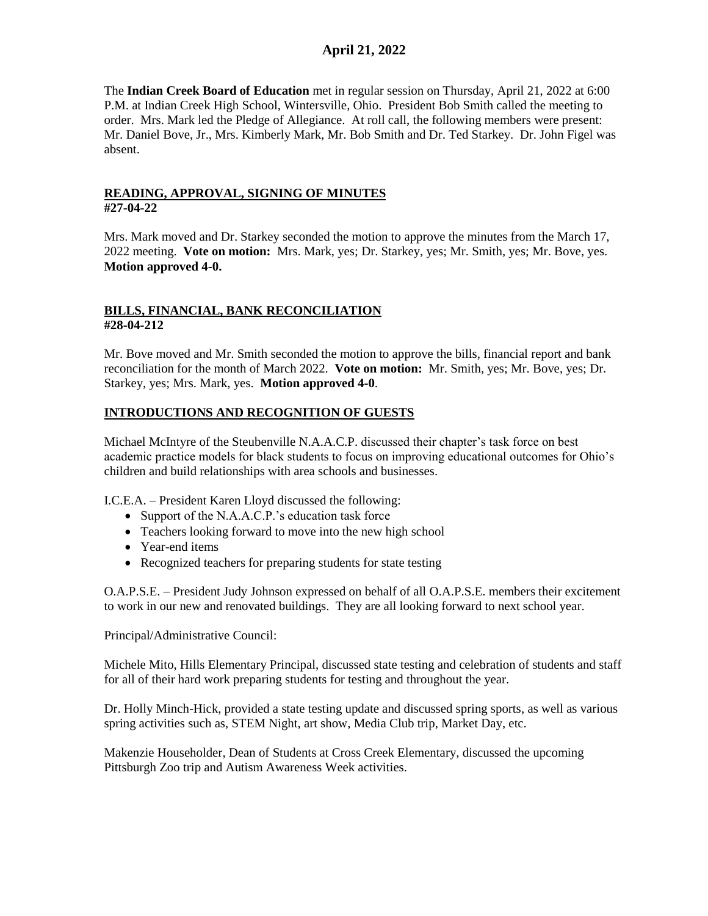The **Indian Creek Board of Education** met in regular session on Thursday, April 21, 2022 at 6:00 P.M. at Indian Creek High School, Wintersville, Ohio. President Bob Smith called the meeting to order. Mrs. Mark led the Pledge of Allegiance. At roll call, the following members were present: Mr. Daniel Bove, Jr., Mrs. Kimberly Mark, Mr. Bob Smith and Dr. Ted Starkey. Dr. John Figel was absent.

## **READING, APPROVAL, SIGNING OF MINUTES #27-04-22**

Mrs. Mark moved and Dr. Starkey seconded the motion to approve the minutes from the March 17, 2022 meeting. **Vote on motion:** Mrs. Mark, yes; Dr. Starkey, yes; Mr. Smith, yes; Mr. Bove, yes. **Motion approved 4-0.**

## **BILLS, FINANCIAL, BANK RECONCILIATION #28-04-212**

Mr. Bove moved and Mr. Smith seconded the motion to approve the bills, financial report and bank reconciliation for the month of March 2022. **Vote on motion:** Mr. Smith, yes; Mr. Bove, yes; Dr. Starkey, yes; Mrs. Mark, yes. **Motion approved 4-0**.

# **INTRODUCTIONS AND RECOGNITION OF GUESTS**

Michael McIntyre of the Steubenville N.A.A.C.P. discussed their chapter's task force on best academic practice models for black students to focus on improving educational outcomes for Ohio's children and build relationships with area schools and businesses.

I.C.E.A. – President Karen Lloyd discussed the following:

- Support of the N.A.A.C.P.'s education task force
- Teachers looking forward to move into the new high school
- Year-end items
- Recognized teachers for preparing students for state testing

O.A.P.S.E. – President Judy Johnson expressed on behalf of all O.A.P.S.E. members their excitement to work in our new and renovated buildings. They are all looking forward to next school year.

Principal/Administrative Council:

Michele Mito, Hills Elementary Principal, discussed state testing and celebration of students and staff for all of their hard work preparing students for testing and throughout the year.

Dr. Holly Minch-Hick, provided a state testing update and discussed spring sports, as well as various spring activities such as, STEM Night, art show, Media Club trip, Market Day, etc.

Makenzie Householder, Dean of Students at Cross Creek Elementary, discussed the upcoming Pittsburgh Zoo trip and Autism Awareness Week activities.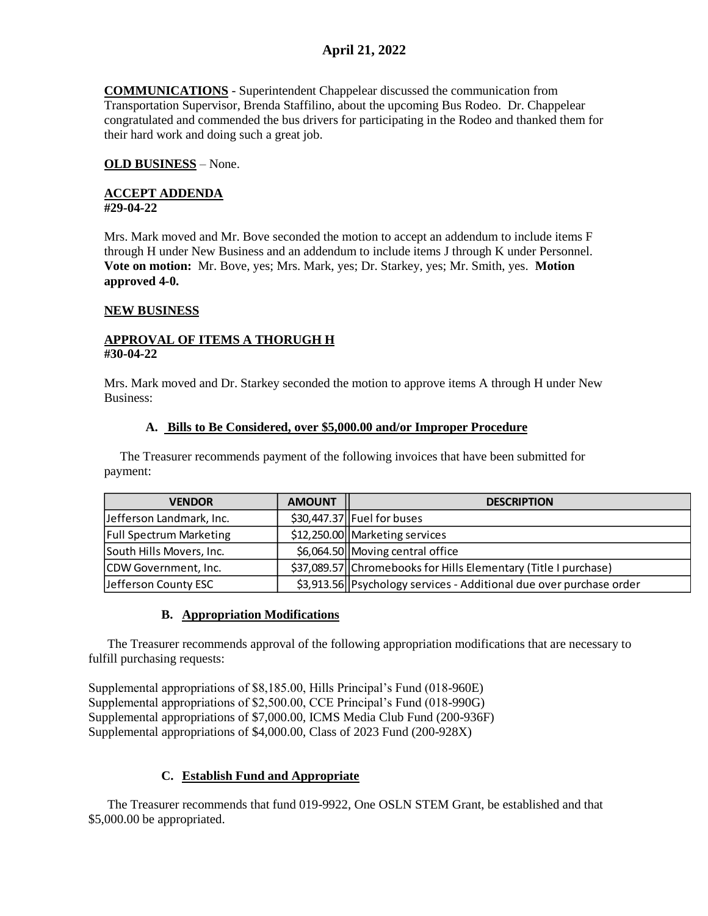**COMMUNICATIONS** - Superintendent Chappelear discussed the communication from Transportation Supervisor, Brenda Staffilino, about the upcoming Bus Rodeo. Dr. Chappelear congratulated and commended the bus drivers for participating in the Rodeo and thanked them for their hard work and doing such a great job.

## **OLD BUSINESS** – None.

#### **ACCEPT ADDENDA #29-04-22**

Mrs. Mark moved and Mr. Bove seconded the motion to accept an addendum to include items F through H under New Business and an addendum to include items J through K under Personnel. **Vote on motion:** Mr. Bove, yes; Mrs. Mark, yes; Dr. Starkey, yes; Mr. Smith, yes. **Motion approved 4-0.**

## **NEW BUSINESS**

## **APPROVAL OF ITEMS A THORUGH H #30-04-22**

Mrs. Mark moved and Dr. Starkey seconded the motion to approve items A through H under New Business:

#### **A. Bills to Be Considered, over \$5,000.00 and/or Improper Procedure**

 The Treasurer recommends payment of the following invoices that have been submitted for payment:

| <b>VENDOR</b>                  | <b>AMOUNT</b> | <b>DESCRIPTION</b>                                                  |
|--------------------------------|---------------|---------------------------------------------------------------------|
| Jefferson Landmark, Inc.       |               | $$30,447.37$ Fuel for buses                                         |
| <b>Full Spectrum Marketing</b> |               | \$12,250.00 Marketing services                                      |
| South Hills Movers, Inc.       |               | \$6,064.50 Moving central office                                    |
| CDW Government, Inc.           |               | \$37,089.57 Chromebooks for Hills Elementary (Title I purchase)     |
| Jefferson County ESC           |               | \$3,913.56 Psychology services - Additional due over purchase order |

# **B. Appropriation Modifications**

 The Treasurer recommends approval of the following appropriation modifications that are necessary to fulfill purchasing requests:

Supplemental appropriations of \$8,185.00, Hills Principal's Fund (018-960E) Supplemental appropriations of \$2,500.00, CCE Principal's Fund (018-990G) Supplemental appropriations of \$7,000.00, ICMS Media Club Fund (200-936F) Supplemental appropriations of \$4,000.00, Class of 2023 Fund (200-928X)

# **C. Establish Fund and Appropriate**

 The Treasurer recommends that fund 019-9922, One OSLN STEM Grant, be established and that \$5,000.00 be appropriated.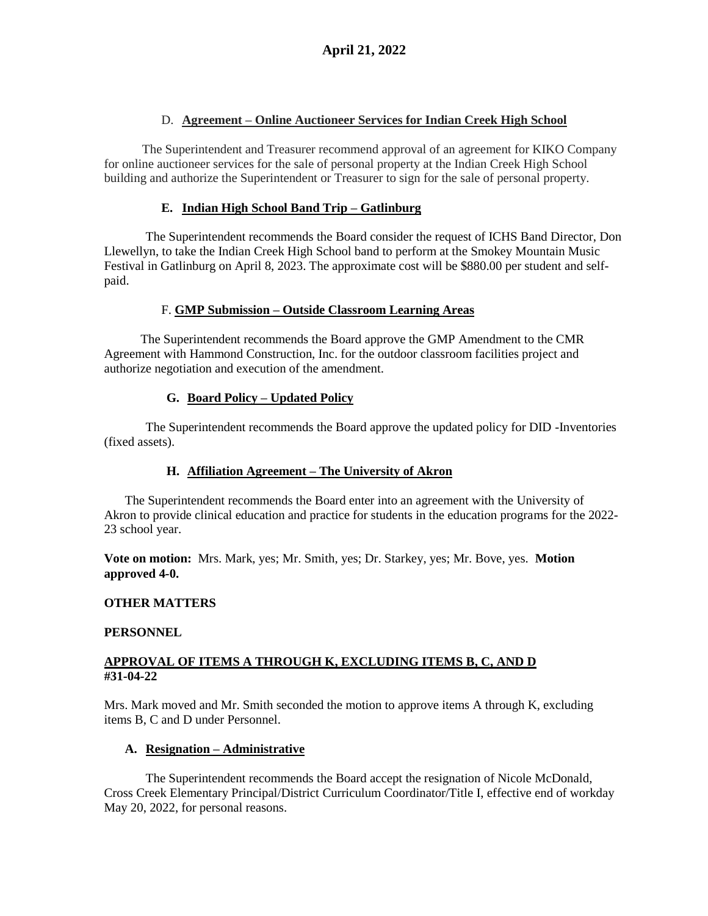## D. **Agreement – Online Auctioneer Services for Indian Creek High School**

 The Superintendent and Treasurer recommend approval of an agreement for KIKO Company for online auctioneer services for the sale of personal property at the Indian Creek High School building and authorize the Superintendent or Treasurer to sign for the sale of personal property.

## **E. Indian High School Band Trip – Gatlinburg**

The Superintendent recommends the Board consider the request of ICHS Band Director, Don Llewellyn, to take the Indian Creek High School band to perform at the Smokey Mountain Music Festival in Gatlinburg on April 8, 2023. The approximate cost will be \$880.00 per student and selfpaid.

## F. **GMP Submission – Outside Classroom Learning Areas**

The Superintendent recommends the Board approve the GMP Amendment to the CMR Agreement with Hammond Construction, Inc. for the outdoor classroom facilities project and authorize negotiation and execution of the amendment.

## **G. Board Policy – Updated Policy**

The Superintendent recommends the Board approve the updated policy for DID -Inventories (fixed assets).

# **H. Affiliation Agreement – The University of Akron**

The Superintendent recommends the Board enter into an agreement with the University of Akron to provide clinical education and practice for students in the education programs for the 2022- 23 school year.

**Vote on motion:** Mrs. Mark, yes; Mr. Smith, yes; Dr. Starkey, yes; Mr. Bove, yes. **Motion approved 4-0.**

#### **OTHER MATTERS**

#### **PERSONNEL**

## **APPROVAL OF ITEMS A THROUGH K, EXCLUDING ITEMS B, C, AND D #31-04-22**

Mrs. Mark moved and Mr. Smith seconded the motion to approve items A through K, excluding items B, C and D under Personnel.

#### **A. Resignation – Administrative**

The Superintendent recommends the Board accept the resignation of Nicole McDonald, Cross Creek Elementary Principal/District Curriculum Coordinator/Title I, effective end of workday May 20, 2022, for personal reasons.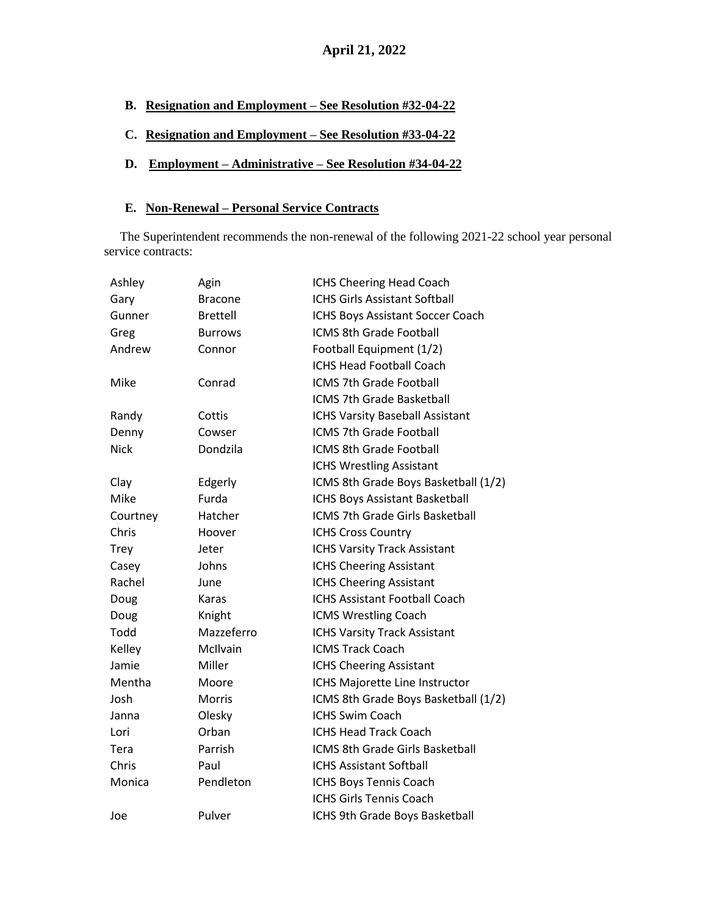- **B. Resignation and Employment – See Resolution #32-04-22**
- **C. Resignation and Employment – See Resolution #33-04-22**
- **D. Employment – Administrative – See Resolution #34-04-22**

#### **E. Non-Renewal – Personal Service Contracts**

 The Superintendent recommends the non-renewal of the following 2021-22 school year personal service contracts:

| Ashley      | Agin            | ICHS Cheering Head Coach               |
|-------------|-----------------|----------------------------------------|
| Gary        | Bracone         | <b>ICHS Girls Assistant Softball</b>   |
| Gunner      | <b>Brettell</b> | ICHS Boys Assistant Soccer Coach       |
| Greg        | <b>Burrows</b>  | ICMS 8th Grade Football                |
| Andrew      | Connor          | Football Equipment (1/2)               |
|             |                 | <b>ICHS Head Football Coach</b>        |
| Mike        | Conrad          | ICMS 7th Grade Football                |
|             |                 | ICMS 7th Grade Basketball              |
| Randy       | Cottis          | <b>ICHS Varsity Baseball Assistant</b> |
| Denny       | Cowser          | <b>ICMS 7th Grade Football</b>         |
| <b>Nick</b> | Dondzila        | <b>ICMS 8th Grade Football</b>         |
|             |                 | <b>ICHS Wrestling Assistant</b>        |
| Clay        | Edgerly         | ICMS 8th Grade Boys Basketball (1/2)   |
| Mike        | Furda           | ICHS Boys Assistant Basketball         |
| Courtney    | Hatcher         | ICMS 7th Grade Girls Basketball        |
| Chris       | Hoover          | <b>ICHS Cross Country</b>              |
| Trey        | Jeter           | <b>ICHS Varsity Track Assistant</b>    |
| Casey       | Johns           | <b>ICHS Cheering Assistant</b>         |
| Rachel      | June            | <b>ICHS Cheering Assistant</b>         |
| Doug        | Karas           | <b>ICHS Assistant Football Coach</b>   |
| Doug        | Knight          | <b>ICMS Wrestling Coach</b>            |
| Todd        | Mazzeferro      | <b>ICHS Varsity Track Assistant</b>    |
| Kelley      | McIlvain        | <b>ICMS Track Coach</b>                |
| Jamie       | Miller          | <b>ICHS Cheering Assistant</b>         |
| Mentha      | Moore           | ICHS Majorette Line Instructor         |
| Josh        | <b>Morris</b>   | ICMS 8th Grade Boys Basketball (1/2)   |
| Janna       | Olesky          | <b>ICHS Swim Coach</b>                 |
| Lori        | Orban           | <b>ICHS Head Track Coach</b>           |
| Tera        | Parrish         | <b>ICMS 8th Grade Girls Basketball</b> |
| Chris       | Paul            | <b>ICHS Assistant Softball</b>         |
| Monica      | Pendleton       | ICHS Boys Tennis Coach                 |
|             |                 | <b>ICHS Girls Tennis Coach</b>         |
| Joe         | Pulver          | ICHS 9th Grade Boys Basketball         |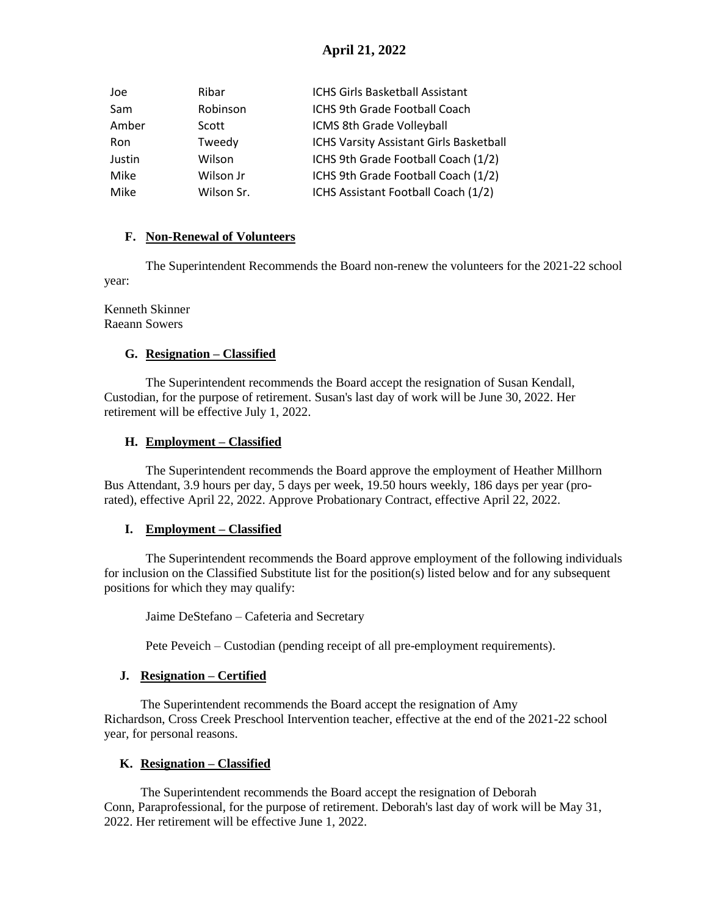| Joe        | Ribar      | ICHS Girls Basketball Assistant         |
|------------|------------|-----------------------------------------|
| Sam        | Robinson   | ICHS 9th Grade Football Coach           |
| Amber      | Scott      | ICMS 8th Grade Volleyball               |
| <b>Ron</b> | Tweedy     | ICHS Varsity Assistant Girls Basketball |
| Justin     | Wilson     | ICHS 9th Grade Football Coach (1/2)     |
| Mike       | Wilson Jr  | ICHS 9th Grade Football Coach (1/2)     |
| Mike       | Wilson Sr. | ICHS Assistant Football Coach (1/2)     |

## **F. Non-Renewal of Volunteers**

The Superintendent Recommends the Board non-renew the volunteers for the 2021-22 school year:

#### Kenneth Skinner Raeann Sowers

## **G. Resignation – Classified**

The Superintendent recommends the Board accept the resignation of Susan Kendall, Custodian, for the purpose of retirement. Susan's last day of work will be June 30, 2022. Her retirement will be effective July 1, 2022.

## **H. Employment – Classified**

The Superintendent recommends the Board approve the employment of Heather Millhorn Bus Attendant, 3.9 hours per day, 5 days per week, 19.50 hours weekly, 186 days per year (prorated), effective April 22, 2022. Approve Probationary Contract, effective April 22, 2022.

#### **I. Employment – Classified**

The Superintendent recommends the Board approve employment of the following individuals for inclusion on the Classified Substitute list for the position(s) listed below and for any subsequent positions for which they may qualify:

Jaime DeStefano – Cafeteria and Secretary

Pete Peveich – Custodian (pending receipt of all pre-employment requirements).

# **J. Resignation – Certified**

The Superintendent recommends the Board accept the resignation of Amy Richardson, Cross Creek Preschool Intervention teacher, effective at the end of the 2021-22 school year, for personal reasons.

#### **K. Resignation – Classified**

The Superintendent recommends the Board accept the resignation of Deborah Conn, Paraprofessional, for the purpose of retirement. Deborah's last day of work will be May 31, 2022. Her retirement will be effective June 1, 2022.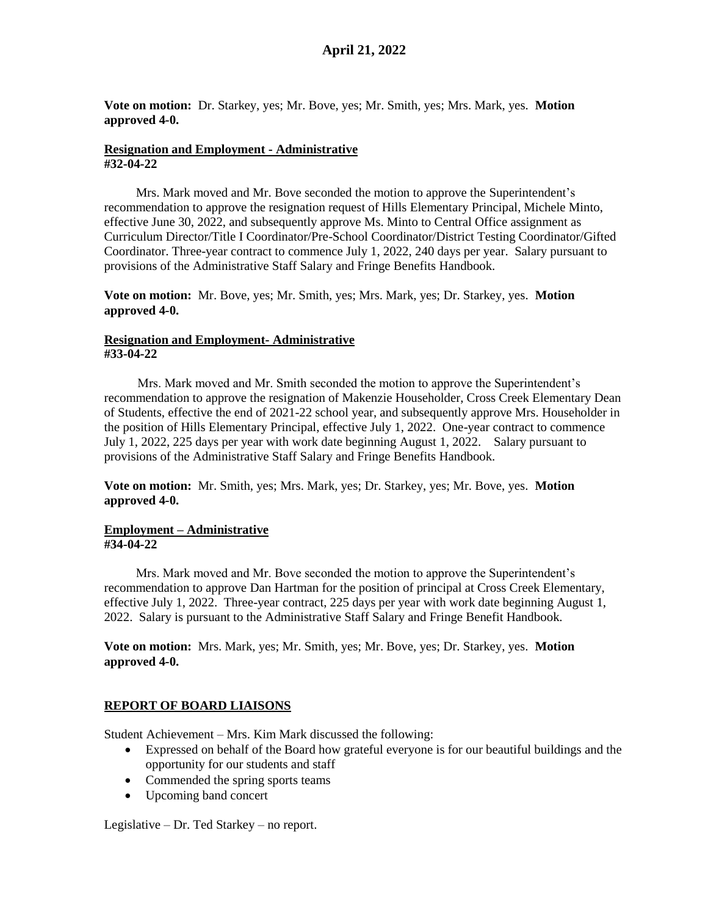**Vote on motion:** Dr. Starkey, yes; Mr. Bove, yes; Mr. Smith, yes; Mrs. Mark, yes. **Motion approved 4-0.**

#### **Resignation and Employment - Administrative #32-04-22**

 Mrs. Mark moved and Mr. Bove seconded the motion to approve the Superintendent's recommendation to approve the resignation request of Hills Elementary Principal, Michele Minto, effective June 30, 2022, and subsequently approve Ms. Minto to Central Office assignment as Curriculum Director/Title I Coordinator/Pre-School Coordinator/District Testing Coordinator/Gifted Coordinator. Three-year contract to commence July 1, 2022, 240 days per year. Salary pursuant to provisions of the Administrative Staff Salary and Fringe Benefits Handbook.

**Vote on motion:** Mr. Bove, yes; Mr. Smith, yes; Mrs. Mark, yes; Dr. Starkey, yes. **Motion approved 4-0.**

### **Resignation and Employment- Administrative #33-04-22**

 Mrs. Mark moved and Mr. Smith seconded the motion to approve the Superintendent's recommendation to approve the resignation of Makenzie Householder, Cross Creek Elementary Dean of Students, effective the end of 2021-22 school year, and subsequently approve Mrs. Householder in the position of Hills Elementary Principal, effective July 1, 2022. One-year contract to commence July 1, 2022, 225 days per year with work date beginning August 1, 2022. Salary pursuant to provisions of the Administrative Staff Salary and Fringe Benefits Handbook.

**Vote on motion:** Mr. Smith, yes; Mrs. Mark, yes; Dr. Starkey, yes; Mr. Bove, yes. **Motion approved 4-0.** 

#### **Employment – Administrative #34-04-22**

Mrs. Mark moved and Mr. Bove seconded the motion to approve the Superintendent's recommendation to approve Dan Hartman for the position of principal at Cross Creek Elementary, effective July 1, 2022. Three-year contract, 225 days per year with work date beginning August 1, 2022. Salary is pursuant to the Administrative Staff Salary and Fringe Benefit Handbook.

**Vote on motion:** Mrs. Mark, yes; Mr. Smith, yes; Mr. Bove, yes; Dr. Starkey, yes. **Motion approved 4-0.**

# **REPORT OF BOARD LIAISONS**

Student Achievement – Mrs. Kim Mark discussed the following:

- Expressed on behalf of the Board how grateful everyone is for our beautiful buildings and the opportunity for our students and staff
- Commended the spring sports teams
- Upcoming band concert

Legislative – Dr. Ted Starkey – no report.